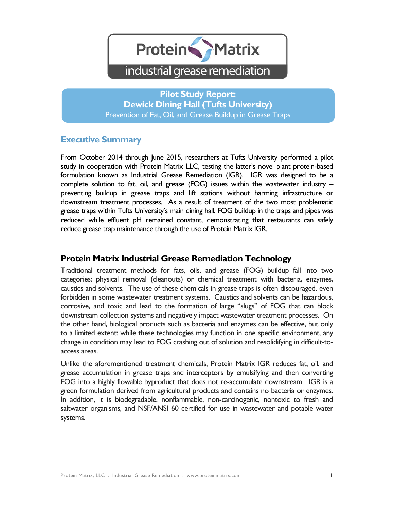

**Pilot Study Report: Dewick Dining Hall (Tufts University)** Prevention of Fat, Oil, and Grease Buildup in Grease Traps

### **Executive Summary**

From October 2014 through June 2015, researchers at Tufts University performed a pilot study in cooperation with Protein Matrix LLC, testing the latter's novel plant protein-based formulation known as Industrial Grease Remediation (IGR). IGR was designed to be a complete solution to fat, oil, and grease (FOG) issues within the wastewater industry – preventing buildup in grease traps and lift stations without harming infrastructure or downstream treatment processes. As a result of treatment of the two most problematic grease traps within Tufts University's main dining hall, FOG buildup in the traps and pipes was reduced while effluent pH remained constant, demonstrating that restaurants can safely reduce grease trap maintenance through the use of Protein Matrix IGR.

## **Protein Matrix Industrial Grease Remediation Technology**

Traditional treatment methods for fats, oils, and grease (FOG) buildup fall into two categories: physical removal (cleanouts) or chemical treatment with bacteria, enzymes, caustics and solvents. The use of these chemicals in grease traps is often discouraged, even forbidden in some wastewater treatment systems. Caustics and solvents can be hazardous, corrosive, and toxic and lead to the formation of large "slugs" of FOG that can block downstream collection systems and negatively impact wastewater treatment processes. On the other hand, biological products such as bacteria and enzymes can be effective, but only to a limited extent: while these technologies may function in one specific environment, any change in condition may lead to FOG crashing out of solution and resolidifying in difficult-toaccess areas.

Unlike the aforementioned treatment chemicals, Protein Matrix IGR reduces fat, oil, and grease accumulation in grease traps and interceptors by emulsifying and then converting FOG into a highly flowable byproduct that does not re-accumulate downstream. IGR is a green formulation derived from agricultural products and contains no bacteria or enzymes. In addition, it is biodegradable, nonflammable, non-carcinogenic, nontoxic to fresh and saltwater organisms, and NSF/ANSI 60 certified for use in wastewater and potable water systems.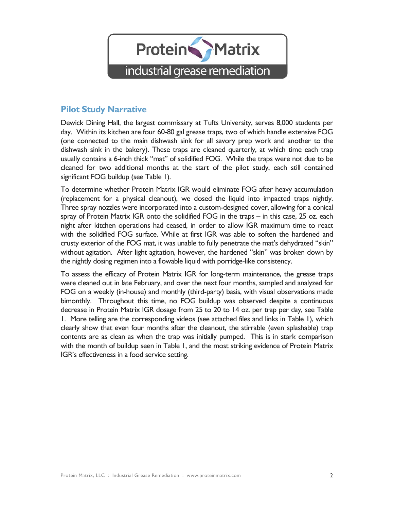

## **Pilot Study Narrative**

Dewick Dining Hall, the largest commissary at Tufts University, serves 8,000 students per day. Within its kitchen are four 60-80 gal grease traps, two of which handle extensive FOG (one connected to the main dishwash sink for all savory prep work and another to the dishwash sink in the bakery). These traps are cleaned quarterly, at which time each trap usually contains a 6-inch thick "mat" of solidified FOG. While the traps were not due to be cleaned for two additional months at the start of the pilot study, each still contained significant FOG buildup (see Table 1).

To determine whether Protein Matrix IGR would eliminate FOG after heavy accumulation (replacement for a physical cleanout), we dosed the liquid into impacted traps nightly. Three spray nozzles were incorporated into a custom-designed cover, allowing for a conical spray of Protein Matrix IGR onto the solidified FOG in the traps – in this case, 25 oz. each night after kitchen operations had ceased, in order to allow IGR maximum time to react with the solidified FOG surface. While at first IGR was able to soften the hardened and crusty exterior of the FOG mat, it was unable to fully penetrate the mat's dehydrated "skin" without agitation. After light agitation, however, the hardened "skin" was broken down by the nightly dosing regimen into a flowable liquid with porridge-like consistency.

To assess the efficacy of Protein Matrix IGR for long-term maintenance, the grease traps were cleaned out in late February, and over the next four months, sampled and analyzed for FOG on a weekly (in-house) and monthly (third-party) basis, with visual observations made bimonthly. Throughout this time, no FOG buildup was observed despite a continuous decrease in Protein Matrix IGR dosage from 25 to 20 to 14 oz. per trap per day, see Table 1. More telling are the corresponding videos (see attached files and links in Table 1), which clearly show that even four months after the cleanout, the stirrable (even splashable) trap contents are as clean as when the trap was initially pumped. This is in stark comparison with the month of buildup seen in Table 1, and the most striking evidence of Protein Matrix IGR's effectiveness in a food service setting.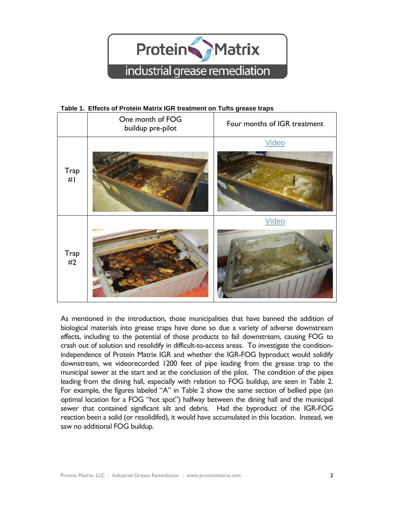

#### **Table 1. Effects of Protein Matrix IGR treatment on Tufts grease traps**

|                   | One month of FOG<br>buildup pre-pilot | Four months of IGR treatment |
|-------------------|---------------------------------------|------------------------------|
| Trap<br>#I        |                                       | <b>Video</b>                 |
| <b>Trap</b><br>#2 |                                       | <b>Video</b>                 |

As mentioned in the introduction, those municipalities that have banned the addition of biological materials into grease traps have done so due a variety of adverse downstream effects, including to the potential of those products to fail downstream, causing FOG to crash out of solution and resolidify in difficult-to-access areas. To investigate the conditionindependence of Protein Matrix IGR and whether the IGR-FOG byproduct would solidify downstream, we videorecorded 1200 feet of pipe leading from the grease trap to the municipal sewer at the start and at the conclusion of the pilot. The condition of the pipes leading from the dining hall, especially with relation to FOG buildup, are seen in Table 2. For example, the figures labeled "A" in Table 2 show the same section of bellied pipe (an optimal location for a FOG "hot spot") halfway between the dining hall and the municipal sewer that contained significant silt and debris. Had the byproduct of the IGR-FOG reaction been a solid (or resolidifed), it would have accumulated in this location. Instead, we saw no additional FOG buildup.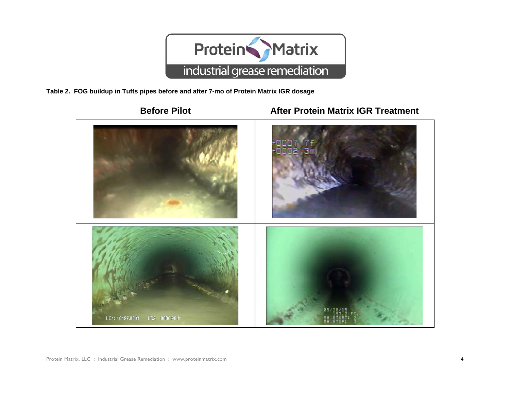

**Table 2. FOG buildup in Tufts pipes before and after 7-mo of Protein Matrix IGR dosage**

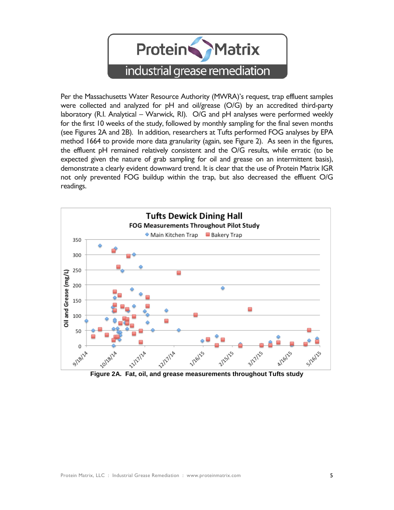

Per the Massachusetts Water Resource Authority (MWRA)'s request, trap effluent samples were collected and analyzed for pH and oil/grease (O/G) by an accredited third-party laboratory (R.I. Analytical – Warwick, RI). O/G and pH analyses were performed weekly for the first 10 weeks of the study, followed by monthly sampling for the final seven months (see Figures 2A and 2B). In addition, researchers at Tufts performed FOG analyses by EPA method 1664 to provide more data granularity (again, see Figure 2). As seen in the figures, the effluent pH remained relatively consistent and the O/G results, while erratic (to be expected given the nature of grab sampling for oil and grease on an intermittent basis), demonstrate a clearly evident downward trend. It is clear that the use of Protein Matrix IGR not only prevented FOG buildup within the trap, but also decreased the effluent O/G readings.



**Figure 2A. Fat, oil, and grease measurements throughout Tufts study**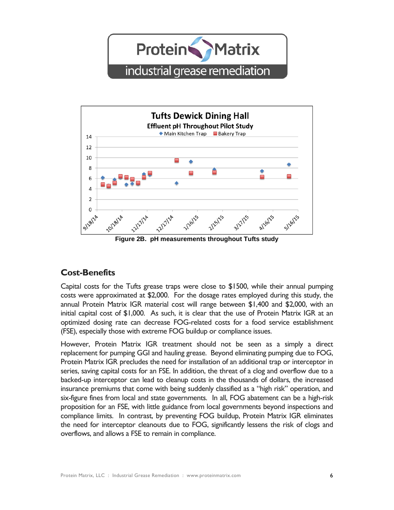**Protein** Matrix industrial grease remediation



**Figure 2B. pH measurements throughout Tufts study**

# **Cost-Benefits**

Capital costs for the Tufts grease traps were close to \$1500, while their annual pumping costs were approximated at \$2,000. For the dosage rates employed during this study, the annual Protein Matrix IGR material cost will range between \$1,400 and \$2,000, with an initial capital cost of \$1,000. As such, it is clear that the use of Protein Matrix IGR at an optimized dosing rate can decrease FOG-related costs for a food service establishment (FSE), especially those with extreme FOG buildup or compliance issues.

However, Protein Matrix IGR treatment should not be seen as a simply a direct replacement for pumping GGI and hauling grease. Beyond eliminating pumping due to FOG, Protein Matrix IGR precludes the need for installation of an additional trap or interceptor in series, saving capital costs for an FSE. In addition, the threat of a clog and overflow due to a backed-up interceptor can lead to cleanup costs in the thousands of dollars, the increased insurance premiums that come with being suddenly classified as a "high risk" operation, and six-figure fines from local and state governments. In all, FOG abatement can be a high-risk proposition for an FSE, with little guidance from local governments beyond inspections and compliance limits. In contrast, by preventing FOG buildup, Protein Matrix IGR eliminates the need for interceptor cleanouts due to FOG, significantly lessens the risk of clogs and overflows, and allows a FSE to remain in compliance.